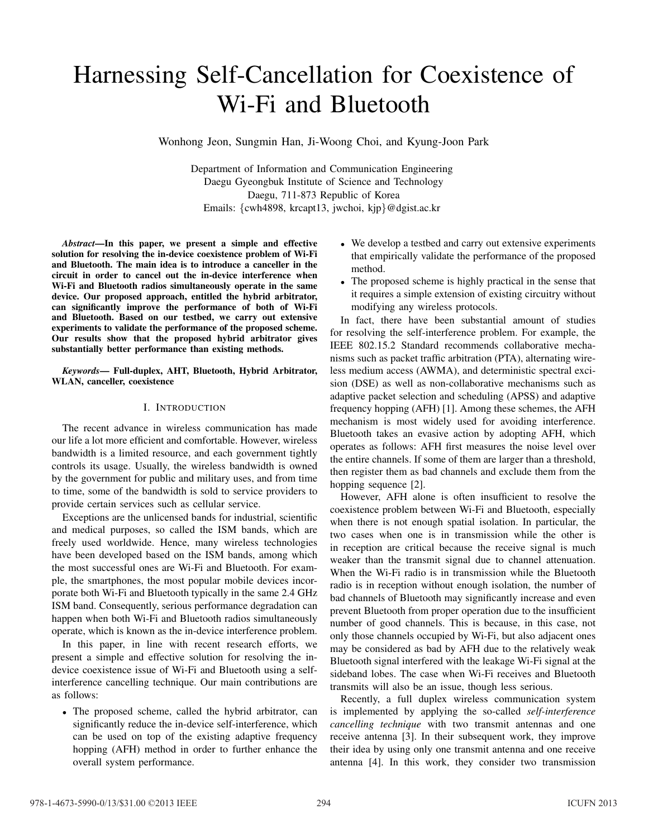# Harnessing Self-Cancellation for Coexistence of Wi-Fi and Bluetooth

Wonhong Jeon, Sungmin Han, Ji-Woong Choi, and Kyung-Joon Park

Department of Information and Communication Engineering Daegu Gyeongbuk Institute of Science and Technology Daegu, 711-873 Republic of Korea Emails: {cwh4898, krcapt13, jwchoi, kjp}@dgist.ac.kr

*Abstract*—In this paper, we present a simple and effective solution for resolving the in-device coexistence problem of Wi-Fi and Bluetooth. The main idea is to introduce a canceller in the circuit in order to cancel out the in-device interference when Wi-Fi and Bluetooth radios simultaneously operate in the same device. Our proposed approach, entitled the hybrid arbitrator, can significantly improve the performance of both of Wi-Fi and Bluetooth. Based on our testbed, we carry out extensive experiments to validate the performance of the proposed scheme. Our results show that the proposed hybrid arbitrator gives substantially better performance than existing methods.

*Keywords*— Full-duplex, AHT, Bluetooth, Hybrid Arbitrator, WLAN, canceller, coexistence

# I. INTRODUCTION

The recent advance in wireless communication has made our life a lot more efficient and comfortable. However, wireless bandwidth is a limited resource, and each government tightly controls its usage. Usually, the wireless bandwidth is owned by the government for public and military uses, and from time to time, some of the bandwidth is sold to service providers to provide certain services such as cellular service.

Exceptions are the unlicensed bands for industrial, scientific and medical purposes, so called the ISM bands, which are freely used worldwide. Hence, many wireless technologies have been developed based on the ISM bands, among which the most successful ones are Wi-Fi and Bluetooth. For example, the smartphones, the most popular mobile devices incorporate both Wi-Fi and Bluetooth typically in the same 2.4 GHz ISM band. Consequently, serious performance degradation can happen when both Wi-Fi and Bluetooth radios simultaneously operate, which is known as the in-device interference problem.

In this paper, in line with recent research efforts, we present a simple and effective solution for resolving the indevice coexistence issue of Wi-Fi and Bluetooth using a selfinterference cancelling technique. Our main contributions are as follows:

• The proposed scheme, called the hybrid arbitrator, can significantly reduce the in-device self-interference, which can be used on top of the existing adaptive frequency hopping (AFH) method in order to further enhance the overall system performance.

- We develop a testbed and carry out extensive experiments that empirically validate the performance of the proposed method.
- The proposed scheme is highly practical in the sense that it requires a simple extension of existing circuitry without modifying any wireless protocols.

In fact, there have been substantial amount of studies for resolving the self-interference problem. For example, the IEEE 802.15.2 Standard recommends collaborative mechanisms such as packet traffic arbitration (PTA), alternating wireless medium access (AWMA), and deterministic spectral excision (DSE) as well as non-collaborative mechanisms such as adaptive packet selection and scheduling (APSS) and adaptive frequency hopping (AFH) [1]. Among these schemes, the AFH mechanism is most widely used for avoiding interference. Bluetooth takes an evasive action by adopting AFH, which operates as follows: AFH first measures the noise level over the entire channels. If some of them are larger than a threshold, then register them as bad channels and exclude them from the hopping sequence [2].

However, AFH alone is often insufficient to resolve the coexistence problem between Wi-Fi and Bluetooth, especially when there is not enough spatial isolation. In particular, the two cases when one is in transmission while the other is in reception are critical because the receive signal is much weaker than the transmit signal due to channel attenuation. When the Wi-Fi radio is in transmission while the Bluetooth radio is in reception without enough isolation, the number of bad channels of Bluetooth may significantly increase and even prevent Bluetooth from proper operation due to the insufficient number of good channels. This is because, in this case, not only those channels occupied by Wi-Fi, but also adjacent ones may be considered as bad by AFH due to the relatively weak Bluetooth signal interfered with the leakage Wi-Fi signal at the sideband lobes. The case when Wi-Fi receives and Bluetooth transmits will also be an issue, though less serious.

Recently, a full duplex wireless communication system is implemented by applying the so-called *self-interference cancelling technique* with two transmit antennas and one receive antenna [3]. In their subsequent work, they improve their idea by using only one transmit antenna and one receive antenna [4]. In this work, they consider two transmission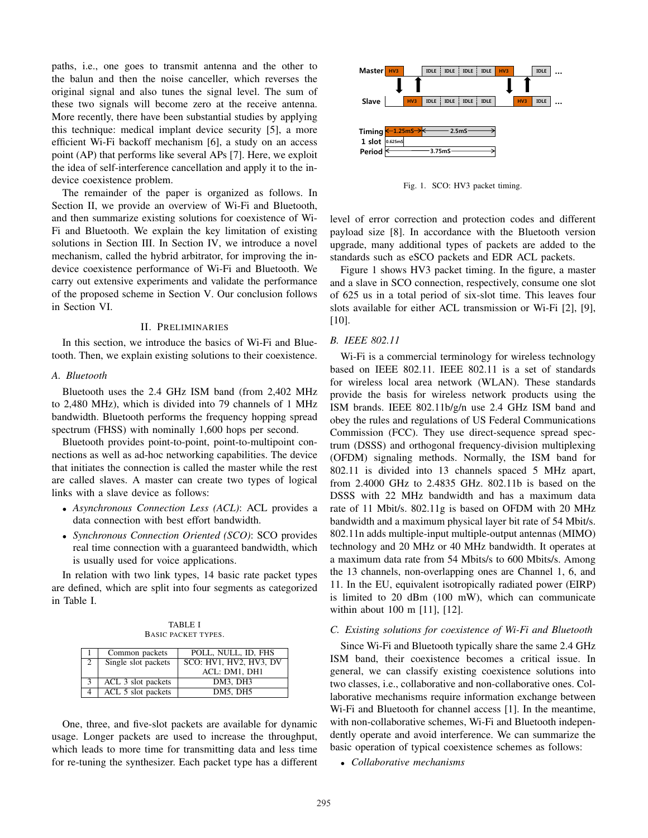paths, i.e., one goes to transmit antenna and the other to the balun and then the noise canceller, which reverses the original signal and also tunes the signal level. The sum of these two signals will become zero at the receive antenna. More recently, there have been substantial studies by applying this technique: medical implant device security [5], a more efficient Wi-Fi backoff mechanism [6], a study on an access point (AP) that performs like several APs [7]. Here, we exploit the idea of self-interference cancellation and apply it to the indevice coexistence problem.

The remainder of the paper is organized as follows. In Section II, we provide an overview of Wi-Fi and Bluetooth, and then summarize existing solutions for coexistence of Wi-Fi and Bluetooth. We explain the key limitation of existing solutions in Section III. In Section IV, we introduce a novel mechanism, called the hybrid arbitrator, for improving the indevice coexistence performance of Wi-Fi and Bluetooth. We carry out extensive experiments and validate the performance of the proposed scheme in Section V. Our conclusion follows in Section VI.

# II. PRELIMINARIES

In this section, we introduce the basics of Wi-Fi and Bluetooth. Then, we explain existing solutions to their coexistence.

#### *A. Bluetooth*

Bluetooth uses the 2.4 GHz ISM band (from 2,402 MHz to 2,480 MHz), which is divided into 79 channels of 1 MHz bandwidth. Bluetooth performs the frequency hopping spread spectrum (FHSS) with nominally 1,600 hops per second.

Bluetooth provides point-to-point, point-to-multipoint connections as well as ad-hoc networking capabilities. The device that initiates the connection is called the master while the rest are called slaves. A master can create two types of logical links with a slave device as follows:

- *Asynchronous Connection Less (ACL)*: ACL provides a data connection with best effort bandwidth.
- *Synchronous Connection Oriented (SCO)*: SCO provides real time connection with a guaranteed bandwidth, which is usually used for voice applications.

In relation with two link types, 14 basic rate packet types are defined, which are split into four segments as categorized in Table I.

TABLE I BASIC PACKET TYPES.

|                | Common packets      | POLL, NULL, ID, FHS    |
|----------------|---------------------|------------------------|
| 2 <sup>2</sup> | Single slot packets | SCO: HV1, HV2, HV3, DV |
|                |                     | ACL: DM1, DH1          |
| 3              | ACL 3 slot packets  | DM3, DH3               |
|                | ACL 5 slot packets  | DM5, DH5               |

One, three, and five-slot packets are available for dynamic usage. Longer packets are used to increase the throughput, which leads to more time for transmitting data and less time for re-tuning the synthesizer. Each packet type has a different



Fig. 1. SCO: HV3 packet timing.

level of error correction and protection codes and different payload size [8]. In accordance with the Bluetooth version upgrade, many additional types of packets are added to the standards such as eSCO packets and EDR ACL packets.

Figure 1 shows HV3 packet timing. In the figure, a master and a slave in SCO connection, respectively, consume one slot of 625 us in a total period of six-slot time. This leaves four slots available for either ACL transmission or Wi-Fi [2], [9], [10].

#### *B. IEEE 802.11*

Wi-Fi is a commercial terminology for wireless technology based on IEEE 802.11. IEEE 802.11 is a set of standards for wireless local area network (WLAN). These standards provide the basis for wireless network products using the ISM brands. IEEE 802.11b/g/n use 2.4 GHz ISM band and obey the rules and regulations of US Federal Communications Commission (FCC). They use direct-sequence spread spectrum (DSSS) and orthogonal frequency-division multiplexing (OFDM) signaling methods. Normally, the ISM band for 802.11 is divided into 13 channels spaced 5 MHz apart, from 2.4000 GHz to 2.4835 GHz. 802.11b is based on the DSSS with 22 MHz bandwidth and has a maximum data rate of 11 Mbit/s. 802.11g is based on OFDM with 20 MHz bandwidth and a maximum physical layer bit rate of 54 Mbit/s. 802.11n adds multiple-input multiple-output antennas (MIMO) technology and 20 MHz or 40 MHz bandwidth. It operates at a maximum data rate from 54 Mbits/s to 600 Mbits/s. Among the 13 channels, non-overlapping ones are Channel 1, 6, and 11. In the EU, equivalent isotropically radiated power (EIRP) is limited to 20 dBm (100 mW), which can communicate within about 100 m [11], [12].

## *C. Existing solutions for coexistence of Wi-Fi and Bluetooth*

Since Wi-Fi and Bluetooth typically share the same 2.4 GHz ISM band, their coexistence becomes a critical issue. In general, we can classify existing coexistence solutions into two classes, i.e., collaborative and non-collaborative ones. Collaborative mechanisms require information exchange between Wi-Fi and Bluetooth for channel access [1]. In the meantime, with non-collaborative schemes, Wi-Fi and Bluetooth independently operate and avoid interference. We can summarize the basic operation of typical coexistence schemes as follows:

• *Collaborative mechanisms*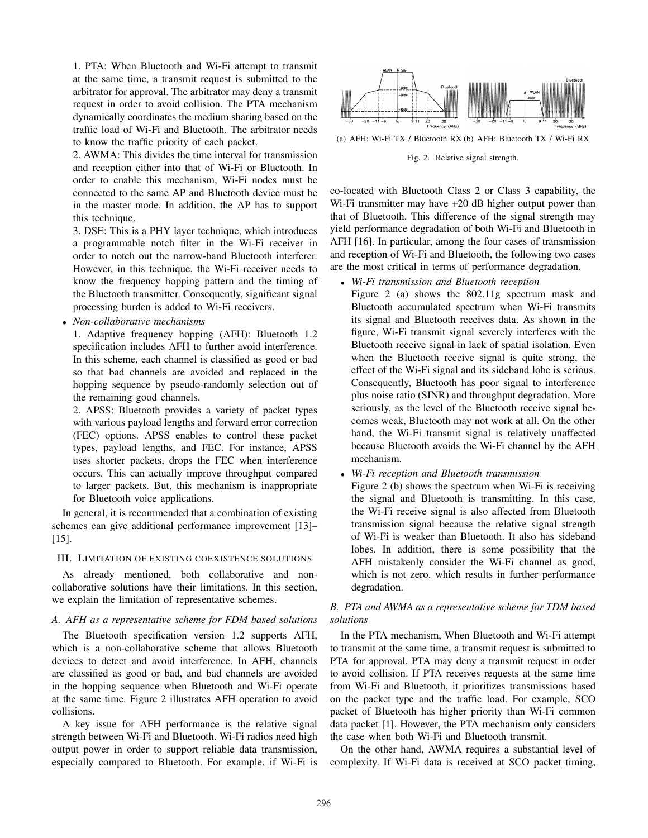1. PTA: When Bluetooth and Wi-Fi attempt to transmit at the same time, a transmit request is submitted to the arbitrator for approval. The arbitrator may deny a transmit request in order to avoid collision. The PTA mechanism dynamically coordinates the medium sharing based on the traffic load of Wi-Fi and Bluetooth. The arbitrator needs to know the traffic priority of each packet.

2. AWMA: This divides the time interval for transmission and reception either into that of Wi-Fi or Bluetooth. In order to enable this mechanism, Wi-Fi nodes must be connected to the same AP and Bluetooth device must be in the master mode. In addition, the AP has to support this technique.

3. DSE: This is a PHY layer technique, which introduces a programmable notch filter in the Wi-Fi receiver in order to notch out the narrow-band Bluetooth interferer. However, in this technique, the Wi-Fi receiver needs to know the frequency hopping pattern and the timing of the Bluetooth transmitter. Consequently, significant signal processing burden is added to Wi-Fi receivers.

• *Non-collaborative mechanisms*

1. Adaptive frequency hopping (AFH): Bluetooth 1.2 specification includes AFH to further avoid interference. In this scheme, each channel is classified as good or bad so that bad channels are avoided and replaced in the hopping sequence by pseudo-randomly selection out of the remaining good channels.

2. APSS: Bluetooth provides a variety of packet types with various payload lengths and forward error correction (FEC) options. APSS enables to control these packet types, payload lengths, and FEC. For instance, APSS uses shorter packets, drops the FEC when interference occurs. This can actually improve throughput compared to larger packets. But, this mechanism is inappropriate for Bluetooth voice applications.

In general, it is recommended that a combination of existing schemes can give additional performance improvement [13]– [15].

# III. LIMITATION OF EXISTING COEXISTENCE SOLUTIONS

As already mentioned, both collaborative and noncollaborative solutions have their limitations. In this section, we explain the limitation of representative schemes.

#### *A. AFH as a representative scheme for FDM based solutions*

The Bluetooth specification version 1.2 supports AFH, which is a non-collaborative scheme that allows Bluetooth devices to detect and avoid interference. In AFH, channels are classified as good or bad, and bad channels are avoided in the hopping sequence when Bluetooth and Wi-Fi operate at the same time. Figure 2 illustrates AFH operation to avoid collisions.

A key issue for AFH performance is the relative signal strength between Wi-Fi and Bluetooth. Wi-Fi radios need high output power in order to support reliable data transmission, especially compared to Bluetooth. For example, if Wi-Fi is



(a) AFH: Wi-Fi TX / Bluetooth RX (b) AFH: Bluetooth TX / Wi-Fi RX

Fig. 2. Relative signal strength.

co-located with Bluetooth Class 2 or Class 3 capability, the W<sub>i</sub>-F<sub>i</sub> transmitter may have  $+20$  dB higher output power than that of Bluetooth. This difference of the signal strength may yield performance degradation of both Wi-Fi and Bluetooth in AFH [16]. In particular, among the four cases of transmission and reception of Wi-Fi and Bluetooth, the following two cases are the most critical in terms of performance degradation.

• *Wi-Fi transmission and Bluetooth reception*

Figure 2 (a) shows the 802.11g spectrum mask and Bluetooth accumulated spectrum when Wi-Fi transmits its signal and Bluetooth receives data. As shown in the figure, Wi-Fi transmit signal severely interferes with the Bluetooth receive signal in lack of spatial isolation. Even when the Bluetooth receive signal is quite strong, the effect of the Wi-Fi signal and its sideband lobe is serious. Consequently, Bluetooth has poor signal to interference plus noise ratio (SINR) and throughput degradation. More seriously, as the level of the Bluetooth receive signal becomes weak, Bluetooth may not work at all. On the other hand, the Wi-Fi transmit signal is relatively unaffected because Bluetooth avoids the Wi-Fi channel by the AFH mechanism.

• *Wi-Fi reception and Bluetooth transmission*

Figure 2 (b) shows the spectrum when Wi-Fi is receiving the signal and Bluetooth is transmitting. In this case, the Wi-Fi receive signal is also affected from Bluetooth transmission signal because the relative signal strength of Wi-Fi is weaker than Bluetooth. It also has sideband lobes. In addition, there is some possibility that the AFH mistakenly consider the Wi-Fi channel as good, which is not zero. which results in further performance degradation.

# *B. PTA and AWMA as a representative scheme for TDM based solutions*

In the PTA mechanism, When Bluetooth and Wi-Fi attempt to transmit at the same time, a transmit request is submitted to PTA for approval. PTA may deny a transmit request in order to avoid collision. If PTA receives requests at the same time from Wi-Fi and Bluetooth, it prioritizes transmissions based on the packet type and the traffic load. For example, SCO packet of Bluetooth has higher priority than Wi-Fi common data packet [1]. However, the PTA mechanism only considers the case when both Wi-Fi and Bluetooth transmit.

On the other hand, AWMA requires a substantial level of complexity. If Wi-Fi data is received at SCO packet timing,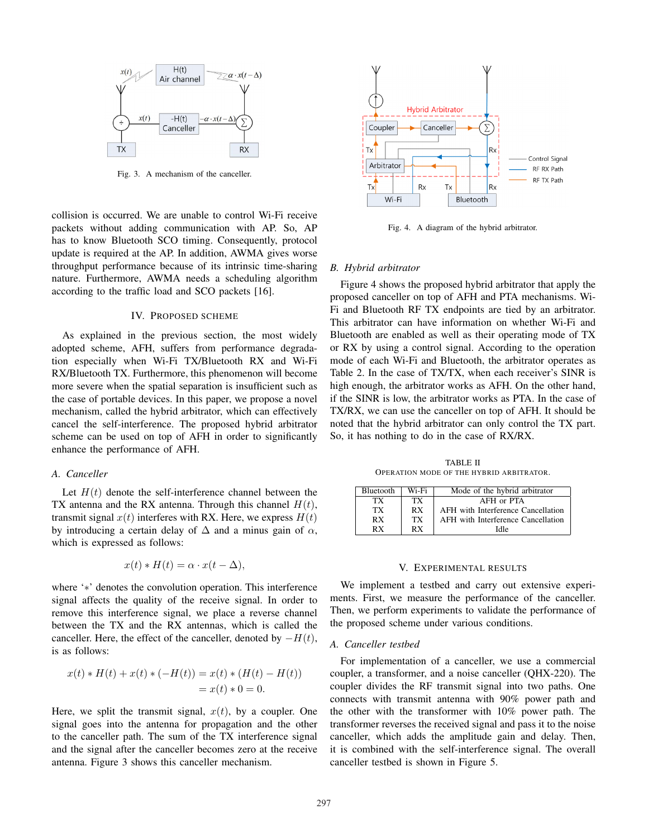

Fig. 3. A mechanism of the canceller.

collision is occurred. We are unable to control Wi-Fi receive packets without adding communication with AP. So, AP has to know Bluetooth SCO timing. Consequently, protocol update is required at the AP. In addition, AWMA gives worse throughput performance because of its intrinsic time-sharing nature. Furthermore, AWMA needs a scheduling algorithm according to the traffic load and SCO packets [16].

## IV. PROPOSED SCHEME

As explained in the previous section, the most widely adopted scheme, AFH, suffers from performance degradation especially when Wi-Fi TX/Bluetooth RX and Wi-Fi RX/Bluetooth TX. Furthermore, this phenomenon will become more severe when the spatial separation is insufficient such as the case of portable devices. In this paper, we propose a novel mechanism, called the hybrid arbitrator, which can effectively cancel the self-interference. The proposed hybrid arbitrator scheme can be used on top of AFH in order to significantly enhance the performance of AFH.

#### *A. Canceller*

Let  $H(t)$  denote the self-interference channel between the TX antenna and the RX antenna. Through this channel  $H(t)$ , transmit signal  $x(t)$  interferes with RX. Here, we express  $H(t)$ by introducing a certain delay of  $\Delta$  and a minus gain of  $\alpha$ , which is expressed as follows:

$$
x(t) * H(t) = \alpha \cdot x(t - \Delta),
$$

where '∗' denotes the convolution operation. This interference signal affects the quality of the receive signal. In order to remove this interference signal, we place a reverse channel between the TX and the RX antennas, which is called the canceller. Here, the effect of the canceller, denoted by  $-H(t)$ , is as follows:

$$
x(t) * H(t) + x(t) * (-H(t)) = x(t) * (H(t) - H(t))
$$
  
=  $x(t) * 0 = 0$ .

Here, we split the transmit signal,  $x(t)$ , by a coupler. One signal goes into the antenna for propagation and the other to the canceller path. The sum of the TX interference signal and the signal after the canceller becomes zero at the receive antenna. Figure 3 shows this canceller mechanism.



Fig. 4. A diagram of the hybrid arbitrator.

# *B. Hybrid arbitrator*

Figure 4 shows the proposed hybrid arbitrator that apply the proposed canceller on top of AFH and PTA mechanisms. Wi-Fi and Bluetooth RF TX endpoints are tied by an arbitrator. This arbitrator can have information on whether Wi-Fi and Bluetooth are enabled as well as their operating mode of TX or RX by using a control signal. According to the operation mode of each Wi-Fi and Bluetooth, the arbitrator operates as Table 2. In the case of TX/TX, when each receiver's SINR is high enough, the arbitrator works as AFH. On the other hand, if the SINR is low, the arbitrator works as PTA. In the case of TX/RX, we can use the canceller on top of AFH. It should be noted that the hybrid arbitrator can only control the TX part. So, it has nothing to do in the case of RX/RX.

TABLE II OPERATION MODE OF THE HYBRID ARBITRATOR.

| Bluetooth | Wi-Fi | Mode of the hybrid arbitrator      |
|-----------|-------|------------------------------------|
| тx        | TХ    | AFH or PTA                         |
| TХ        | RX    | AFH with Interference Cancellation |
| RX        | TX    | AFH with Interference Cancellation |
| RX        | RX    | Idle                               |

#### V. EXPERIMENTAL RESULTS

We implement a testbed and carry out extensive experiments. First, we measure the performance of the canceller. Then, we perform experiments to validate the performance of the proposed scheme under various conditions.

# *A. Canceller testbed*

For implementation of a canceller, we use a commercial coupler, a transformer, and a noise canceller (QHX-220). The coupler divides the RF transmit signal into two paths. One connects with transmit antenna with 90% power path and the other with the transformer with 10% power path. The transformer reverses the received signal and pass it to the noise canceller, which adds the amplitude gain and delay. Then, it is combined with the self-interference signal. The overall canceller testbed is shown in Figure 5.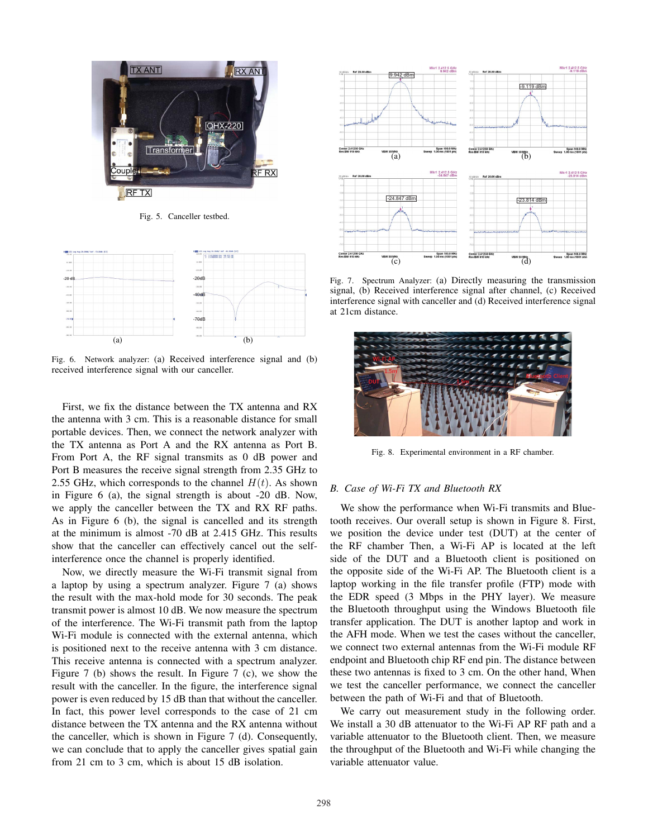

Fig. 5. Canceller testbed.



Fig. 6. Network analyzer: (a) Received interference signal and (b) received interference signal with our canceller.

First, we fix the distance between the TX antenna and RX the antenna with 3 cm. This is a reasonable distance for small portable devices. Then, we connect the network analyzer with the TX antenna as Port A and the RX antenna as Port B. From Port A, the RF signal transmits as 0 dB power and Port B measures the receive signal strength from 2.35 GHz to 2.55 GHz, which corresponds to the channel  $H(t)$ . As shown in Figure 6 (a), the signal strength is about -20 dB. Now, we apply the canceller between the TX and RX RF paths. As in Figure 6 (b), the signal is cancelled and its strength at the minimum is almost -70 dB at 2.415 GHz. This results show that the canceller can effectively cancel out the selfinterference once the channel is properly identified.

Now, we directly measure the Wi-Fi transmit signal from a laptop by using a spectrum analyzer. Figure 7 (a) shows the result with the max-hold mode for 30 seconds. The peak transmit power is almost 10 dB. We now measure the spectrum of the interference. The Wi-Fi transmit path from the laptop Wi-Fi module is connected with the external antenna, which is positioned next to the receive antenna with 3 cm distance. This receive antenna is connected with a spectrum analyzer. Figure 7 (b) shows the result. In Figure 7 (c), we show the result with the canceller. In the figure, the interference signal power is even reduced by 15 dB than that without the canceller. In fact, this power level corresponds to the case of 21 cm distance between the TX antenna and the RX antenna without the canceller, which is shown in Figure 7 (d). Consequently, we can conclude that to apply the canceller gives spatial gain from 21 cm to 3 cm, which is about 15 dB isolation.



Fig. 7. Spectrum Analyzer: (a) Directly measuring the transmission signal, (b) Received interference signal after channel, (c) Received interference signal with canceller and (d) Received interference signal at 21cm distance.



Fig. 8. Experimental environment in a RF chamber.

#### *B. Case of Wi-Fi TX and Bluetooth RX*

We show the performance when Wi-Fi transmits and Bluetooth receives. Our overall setup is shown in Figure 8. First, we position the device under test (DUT) at the center of the RF chamber Then, a Wi-Fi AP is located at the left side of the DUT and a Bluetooth client is positioned on the opposite side of the Wi-Fi AP. The Bluetooth client is a laptop working in the file transfer profile (FTP) mode with the EDR speed (3 Mbps in the PHY layer). We measure the Bluetooth throughput using the Windows Bluetooth file transfer application. The DUT is another laptop and work in the AFH mode. When we test the cases without the canceller, we connect two external antennas from the Wi-Fi module RF endpoint and Bluetooth chip RF end pin. The distance between these two antennas is fixed to 3 cm. On the other hand, When we test the canceller performance, we connect the canceller between the path of Wi-Fi and that of Bluetooth.

We carry out measurement study in the following order. We install a 30 dB attenuator to the Wi-Fi AP RF path and a variable attenuator to the Bluetooth client. Then, we measure the throughput of the Bluetooth and Wi-Fi while changing the variable attenuator value.